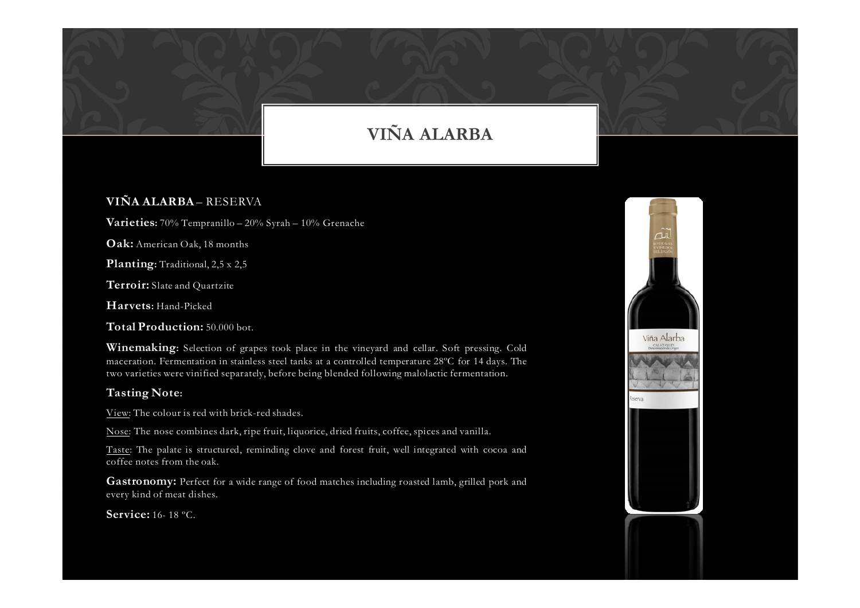## VIÑA ALARBA

## VIÑA ALARBA – RESERVA

**Varieties:** 70% Tempranillo – 20% Syrah – 10% Grenache

 $\mathrm{Oak}\text{:}$  American Oak, 18 months

Planting: Traditional, 2,5 x 2,5

**Terroir:** Slate and Quartzite

Harvets: Hand-Picked

Total Production: 50.000 bot.

Winemaking: Selection of grapes took <sup>p</sup>lace in the vineyard and cellar. Soft pressing. Cold maceration. Fermentation in stainless steel tanks at <sup>a</sup> controlled temperature 28ºC for <sup>14</sup> days. The two varieties were vinified separately, before being blended following malolactic fermentation.

## Tasting Note:

View: The colour is red with brick-red shades.

Nose: The nose combines dark, ripe fruit, liquorice, dried fruits, coffee, spices and vanilla.

Taste: The palate is structured, reminding clove and forest fruit, well integrated with cocoa and coffee notes from the oak.

**Gastronomy:** Perfect for a wide range of food matches including roasted lamb, grilled pork and every kind of meat dishes.

**Service:** 16- 18 °C.